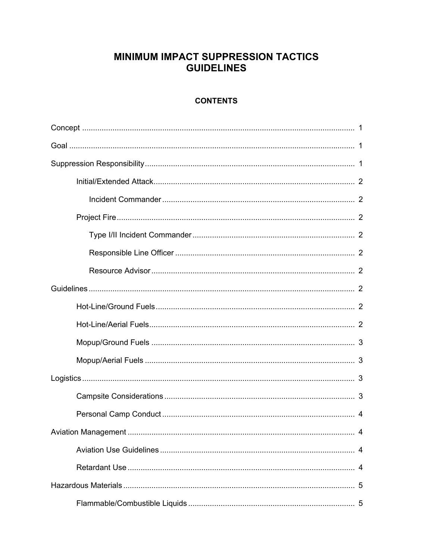# **MINIMUM IMPACT SUPPRESSION TACTICS GUIDELINES**

## **CONTENTS**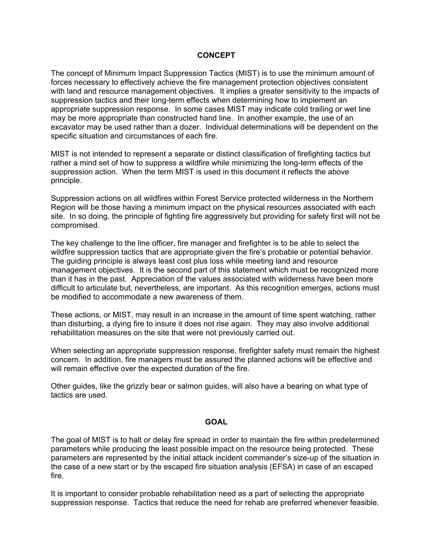#### **CONCEPT**

The concept of Minimum Impact Suppression Tactics (MIST) is to use the minimum amount of forces necessary to effectively achieve the fire management protection objectives consistent with land and resource management objectives. It implies a greater sensitivity to the impacts of suppression tactics and their long-term effects when determining how to implement an appropriate suppression response. In some cases MIST may indicate cold trailing or wet line may be more appropriate than constructed hand line. In another example, the use of an excavator may be used rather than a dozer. Individual determinations will be dependent on the specific situation and circumstances of each fire.

MIST is not intended to represent a separate or distinct classification of firefighting tactics but rather a mind set of how to suppress a wildfire while minimizing the long-term effects of the suppression action. When the term MIST is used in this document it reflects the above principle.

Suppression actions on all wildfires within Forest Service protected wilderness in the Northern Region will be those having a minimum impact on the physical resources associated with each site. In so doing, the principle of fighting fire aggressively but providing for safety first will not be compromised.

The key challenge to the line officer, fire manager and firefighter is to be able to select the wildfire suppression tactics that are appropriate given the fire's probable or potential behavior. The guiding principle is always least cost plus loss while meeting land and resource management objectives. It is the second part of this statement which must be recognized more than it has in the past. Appreciation of the values associated with wilderness have been more difficult to articulate but, nevertheless, are important. As this recognition emerges, actions must be modified to accommodate a new awareness of them.

These actions, or MIST, may result in an increase in the amount of time spent watching, rather than disturbing, a dying fire to insure it does not rise again. They may also involve additional rehabilitation measures on the site that were not previously carried out.

When selecting an appropriate suppression response, firefighter safety must remain the highest concern. In addition, fire managers must be assured the planned actions will be effective and will remain effective over the expected duration of the fire.

Other guides, like the grizzly bear or salmon guides, will also have a bearing on what type of tactics are used.

#### **GOAL**

The goal of MIST is to halt or delay fire spread in order to maintain the fire within predetermined parameters while producing the least possible impact on the resource being protected. These parameters are represented by the initial attack incident commander's size-up of the situation in the case of a new start or by the escaped fire situation analysis (EFSA) in case of an escaped fire.

It is important to consider probable rehabilitation need as a part of selecting the appropriate suppression response. Tactics that reduce the need for rehab are preferred whenever feasible.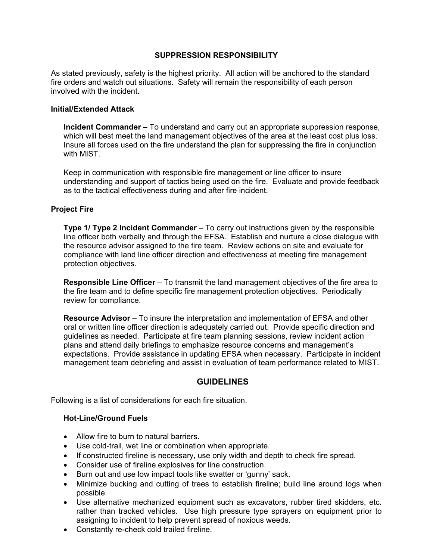### **SUPPRESSION RESPONSIBILITY**

As stated previously, safety is the highest priority. All action will be anchored to the standard fire orders and watch out situations. Safety will remain the responsibility of each person involved with the incident.

#### **Initial/Extended Attack**

**Incident Commander** – To understand and carry out an appropriate suppression response, which will best meet the land management objectives of the area at the least cost plus loss. Insure all forces used on the fire understand the plan for suppressing the fire in conjunction with MIST.

Keep in communication with responsible fire management or line officer to insure understanding and support of tactics being used on the fire. Evaluate and provide feedback as to the tactical effectiveness during and after fire incident.

#### **Project Fire**

**Type 1/ Type 2 Incident Commander** – To carry out instructions given by the responsible line officer both verbally and through the EFSA. Establish and nurture a close dialogue with the resource advisor assigned to the fire team. Review actions on site and evaluate for compliance with land line officer direction and effectiveness at meeting fire management protection objectives.

**Responsible Line Officer** – To transmit the land management objectives of the fire area to the fire team and to define specific fire management protection objectives. Periodically review for compliance.

**Resource Advisor** – To insure the interpretation and implementation of EFSA and other oral or written line officer direction is adequately carried out. Provide specific direction and guidelines as needed. Participate at fire team planning sessions, review incident action plans and attend daily briefings to emphasize resource concerns and management's expectations. Provide assistance in updating EFSA when necessary. Participate in incident management team debriefing and assist in evaluation of team performance related to MIST.

#### **GUIDELINES**

Following is a list of considerations for each fire situation.

#### **Hot-Line/Ground Fuels**

- Allow fire to burn to natural barriers.
- Use cold-trail, wet line or combination when appropriate.
- If constructed fireline is necessary, use only width and depth to check fire spread.
- Consider use of fireline explosives for line construction.
- Burn out and use low impact tools like swatter or 'gunny' sack.
- Minimize bucking and cutting of trees to establish fireline; build line around logs when possible.
- Use alternative mechanized equipment such as excavators, rubber tired skidders, etc. rather than tracked vehicles. Use high pressure type sprayers on equipment prior to assigning to incident to help prevent spread of noxious weeds.
- Constantly re-check cold trailed fireline.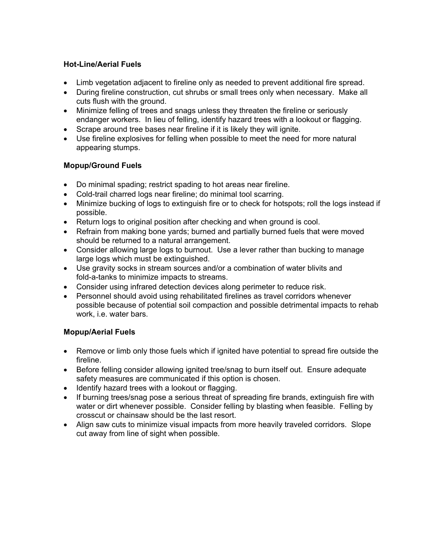## **Hot-Line/Aerial Fuels**

- Limb vegetation adjacent to fireline only as needed to prevent additional fire spread.
- During fireline construction, cut shrubs or small trees only when necessary. Make all cuts flush with the ground.
- Minimize felling of trees and snags unless they threaten the fireline or seriously endanger workers. In lieu of felling, identify hazard trees with a lookout or flagging.
- Scrape around tree bases near fireline if it is likely they will ignite.
- Use fireline explosives for felling when possible to meet the need for more natural appearing stumps.

## **Mopup/Ground Fuels**

- Do minimal spading; restrict spading to hot areas near fireline.
- Cold-trail charred logs near fireline; do minimal tool scarring.
- Minimize bucking of logs to extinguish fire or to check for hotspots; roll the logs instead if possible.
- Return logs to original position after checking and when ground is cool.
- Refrain from making bone yards; burned and partially burned fuels that were moved should be returned to a natural arrangement.
- Consider allowing large logs to burnout. Use a lever rather than bucking to manage large logs which must be extinguished.
- Use gravity socks in stream sources and/or a combination of water blivits and fold-a-tanks to minimize impacts to streams.
- Consider using infrared detection devices along perimeter to reduce risk.
- Personnel should avoid using rehabilitated firelines as travel corridors whenever possible because of potential soil compaction and possible detrimental impacts to rehab work, i.e. water bars.

## **Mopup/Aerial Fuels**

- Remove or limb only those fuels which if ignited have potential to spread fire outside the fireline.
- Before felling consider allowing ignited tree/snag to burn itself out. Ensure adequate safety measures are communicated if this option is chosen.
- Identify hazard trees with a lookout or flagging.
- If burning trees/snag pose a serious threat of spreading fire brands, extinguish fire with water or dirt whenever possible. Consider felling by blasting when feasible. Felling by crosscut or chainsaw should be the last resort.
- Align saw cuts to minimize visual impacts from more heavily traveled corridors. Slope cut away from line of sight when possible.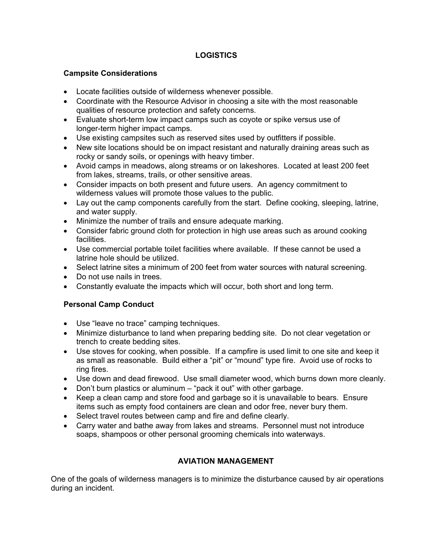## **LOGISTICS**

## **Campsite Considerations**

- Locate facilities outside of wilderness whenever possible.
- Coordinate with the Resource Advisor in choosing a site with the most reasonable qualities of resource protection and safety concerns.
- Evaluate short-term low impact camps such as coyote or spike versus use of longer-term higher impact camps.
- Use existing campsites such as reserved sites used by outfitters if possible.
- New site locations should be on impact resistant and naturally draining areas such as rocky or sandy soils, or openings with heavy timber.
- Avoid camps in meadows, along streams or on lakeshores. Located at least 200 feet from lakes, streams, trails, or other sensitive areas.
- Consider impacts on both present and future users. An agency commitment to wilderness values will promote those values to the public.
- Lay out the camp components carefully from the start. Define cooking, sleeping, latrine, and water supply.
- Minimize the number of trails and ensure adequate marking.
- Consider fabric ground cloth for protection in high use areas such as around cooking facilities.
- Use commercial portable toilet facilities where available. If these cannot be used a latrine hole should be utilized.
- Select latrine sites a minimum of 200 feet from water sources with natural screening.
- Do not use nails in trees.
- Constantly evaluate the impacts which will occur, both short and long term.

## **Personal Camp Conduct**

- Use "leave no trace" camping techniques.
- Minimize disturbance to land when preparing bedding site. Do not clear vegetation or trench to create bedding sites.
- Use stoves for cooking, when possible. If a campfire is used limit to one site and keep it as small as reasonable. Build either a "pit" or "mound" type fire. Avoid use of rocks to ring fires.
- Use down and dead firewood. Use small diameter wood, which burns down more cleanly.
- Don't burn plastics or aluminum "pack it out" with other garbage.
- Keep a clean camp and store food and garbage so it is unavailable to bears. Ensure items such as empty food containers are clean and odor free, never bury them.
- Select travel routes between camp and fire and define clearly.
- Carry water and bathe away from lakes and streams. Personnel must not introduce soaps, shampoos or other personal grooming chemicals into waterways.

## **AVIATION MANAGEMENT**

One of the goals of wilderness managers is to minimize the disturbance caused by air operations during an incident.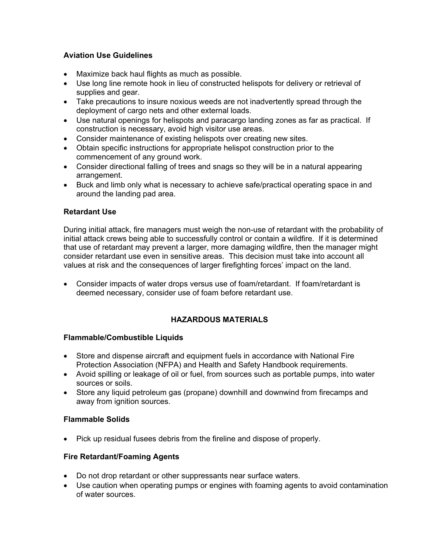## **Aviation Use Guidelines**

- Maximize back haul flights as much as possible.
- Use long line remote hook in lieu of constructed helispots for delivery or retrieval of supplies and gear.
- Take precautions to insure noxious weeds are not inadvertently spread through the deployment of cargo nets and other external loads.
- Use natural openings for helispots and paracargo landing zones as far as practical. If construction is necessary, avoid high visitor use areas.
- Consider maintenance of existing helispots over creating new sites.
- Obtain specific instructions for appropriate helispot construction prior to the commencement of any ground work.
- Consider directional falling of trees and snags so they will be in a natural appearing arrangement.
- Buck and limb only what is necessary to achieve safe/practical operating space in and around the landing pad area.

## **Retardant Use**

During initial attack, fire managers must weigh the non-use of retardant with the probability of initial attack crews being able to successfully control or contain a wildfire. If it is determined that use of retardant may prevent a larger, more damaging wildfire, then the manager might consider retardant use even in sensitive areas. This decision must take into account all values at risk and the consequences of larger firefighting forces' impact on the land.

• Consider impacts of water drops versus use of foam/retardant. If foam/retardant is deemed necessary, consider use of foam before retardant use.

## **HAZARDOUS MATERIALS**

### **Flammable/Combustible Liquids**

- Store and dispense aircraft and equipment fuels in accordance with National Fire Protection Association (NFPA) and Health and Safety Handbook requirements.
- Avoid spilling or leakage of oil or fuel, from sources such as portable pumps, into water sources or soils.
- Store any liquid petroleum gas (propane) downhill and downwind from firecamps and away from ignition sources.

### **Flammable Solids**

• Pick up residual fusees debris from the fireline and dispose of properly.

## **Fire Retardant/Foaming Agents**

- Do not drop retardant or other suppressants near surface waters.
- Use caution when operating pumps or engines with foaming agents to avoid contamination of water sources.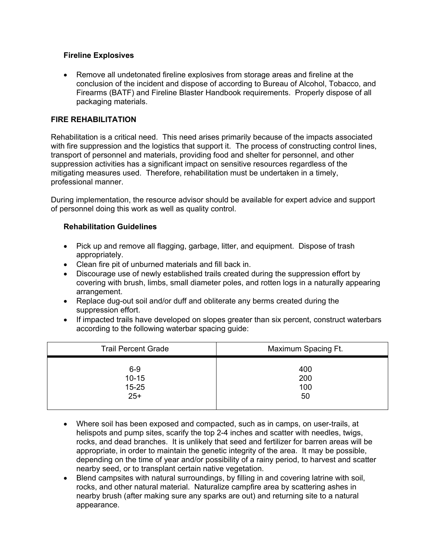### **Fireline Explosives**

• Remove all undetonated fireline explosives from storage areas and fireline at the conclusion of the incident and dispose of according to Bureau of Alcohol, Tobacco, and Firearms (BATF) and Fireline Blaster Handbook requirements. Properly dispose of all packaging materials.

## **FIRE REHABILITATION**

Rehabilitation is a critical need. This need arises primarily because of the impacts associated with fire suppression and the logistics that support it. The process of constructing control lines, transport of personnel and materials, providing food and shelter for personnel, and other suppression activities has a significant impact on sensitive resources regardless of the mitigating measures used. Therefore, rehabilitation must be undertaken in a timely, professional manner.

During implementation, the resource advisor should be available for expert advice and support of personnel doing this work as well as quality control.

### **Rehabilitation Guidelines**

- Pick up and remove all flagging, garbage, litter, and equipment. Dispose of trash appropriately.
- Clean fire pit of unburned materials and fill back in.
- Discourage use of newly established trails created during the suppression effort by covering with brush, limbs, small diameter poles, and rotten logs in a naturally appearing arrangement.
- Replace dug-out soil and/or duff and obliterate any berms created during the suppression effort.
- If impacted trails have developed on slopes greater than six percent, construct waterbars according to the following waterbar spacing guide:

| <b>Trail Percent Grade</b> | Maximum Spacing Ft. |
|----------------------------|---------------------|
| $6-9$                      | 400                 |
| $10 - 15$                  | 200                 |
| $15 - 25$                  | 100                 |
| $25+$                      | 50                  |

- Where soil has been exposed and compacted, such as in camps, on user-trails, at helispots and pump sites, scarify the top 2-4 inches and scatter with needles, twigs, rocks, and dead branches. It is unlikely that seed and fertilizer for barren areas will be appropriate, in order to maintain the genetic integrity of the area. It may be possible, depending on the time of year and/or possibility of a rainy period, to harvest and scatter nearby seed, or to transplant certain native vegetation.
- Blend campsites with natural surroundings, by filling in and covering latrine with soil, rocks, and other natural material. Naturalize campfire area by scattering ashes in nearby brush (after making sure any sparks are out) and returning site to a natural appearance.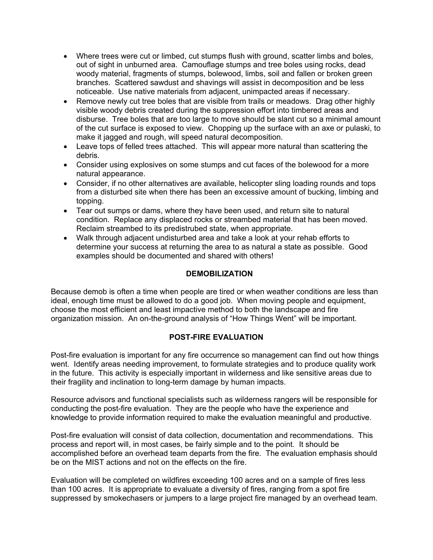- Where trees were cut or limbed, cut stumps flush with ground, scatter limbs and boles, out of sight in unburned area. Camouflage stumps and tree boles using rocks, dead woody material, fragments of stumps, bolewood, limbs, soil and fallen or broken green branches. Scattered sawdust and shavings will assist in decomposition and be less noticeable. Use native materials from adjacent, unimpacted areas if necessary.
- Remove newly cut tree boles that are visible from trails or meadows. Drag other highly visible woody debris created during the suppression effort into timbered areas and disburse. Tree boles that are too large to move should be slant cut so a minimal amount of the cut surface is exposed to view. Chopping up the surface with an axe or pulaski, to make it jagged and rough, will speed natural decomposition.
- Leave tops of felled trees attached. This will appear more natural than scattering the debris.
- Consider using explosives on some stumps and cut faces of the bolewood for a more natural appearance.
- Consider, if no other alternatives are available, helicopter sling loading rounds and tops from a disturbed site when there has been an excessive amount of bucking, limbing and topping.
- Tear out sumps or dams, where they have been used, and return site to natural condition. Replace any displaced rocks or streambed material that has been moved. Reclaim streambed to its predistrubed state, when appropriate.
- Walk through adjacent undisturbed area and take a look at your rehab efforts to determine your success at returning the area to as natural a state as possible. Good examples should be documented and shared with others!

### **DEMOBILIZATION**

Because demob is often a time when people are tired or when weather conditions are less than ideal, enough time must be allowed to do a good job. When moving people and equipment, choose the most efficient and least impactive method to both the landscape and fire organization mission. An on-the-ground analysis of "How Things Went" will be important.

### **POST-FIRE EVALUATION**

Post-fire evaluation is important for any fire occurrence so management can find out how things went. Identify areas needing improvement, to formulate strategies and to produce quality work in the future. This activity is especially important in wilderness and like sensitive areas due to their fragility and inclination to long-term damage by human impacts.

Resource advisors and functional specialists such as wilderness rangers will be responsible for conducting the post-fire evaluation. They are the people who have the experience and knowledge to provide information required to make the evaluation meaningful and productive.

Post-fire evaluation will consist of data collection, documentation and recommendations. This process and report will, in most cases, be fairly simple and to the point. It should be accomplished before an overhead team departs from the fire. The evaluation emphasis should be on the MIST actions and not on the effects on the fire.

Evaluation will be completed on wildfires exceeding 100 acres and on a sample of fires less than 100 acres. It is appropriate to evaluate a diversity of fires, ranging from a spot fire suppressed by smokechasers or jumpers to a large project fire managed by an overhead team.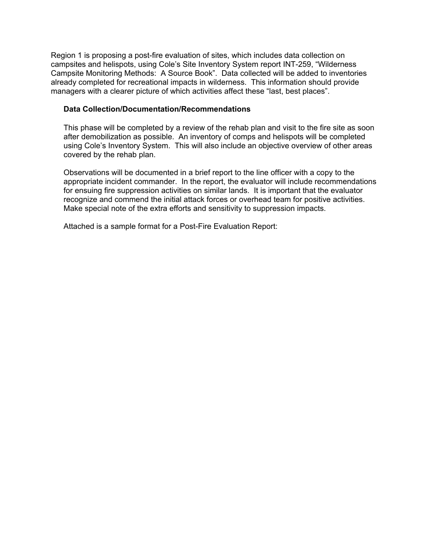Region 1 is proposing a post-fire evaluation of sites, which includes data collection on campsites and helispots, using Cole's Site Inventory System report INT-259, "Wilderness Campsite Monitoring Methods: A Source Book". Data collected will be added to inventories already completed for recreational impacts in wilderness. This information should provide managers with a clearer picture of which activities affect these "last, best places".

#### **Data Collection/Documentation/Recommendations**

This phase will be completed by a review of the rehab plan and visit to the fire site as soon after demobilization as possible. An inventory of comps and helispots will be completed using Cole's Inventory System. This will also include an objective overview of other areas covered by the rehab plan.

Observations will be documented in a brief report to the line officer with a copy to the appropriate incident commander. In the report, the evaluator will include recommendations for ensuing fire suppression activities on similar lands. It is important that the evaluator recognize and commend the initial attack forces or overhead team for positive activities. Make special note of the extra efforts and sensitivity to suppression impacts.

Attached is a sample format for a Post-Fire Evaluation Report: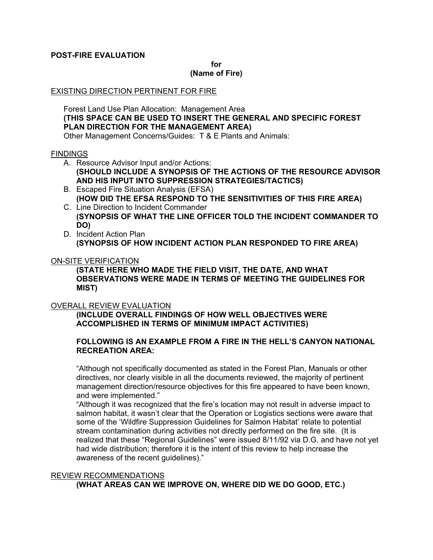### **POST-FIRE EVALUATION**

**for** 

#### **(Name of Fire)**

#### EXISTING DIRECTION PERTINENT FOR FIRE

Forest Land Use Plan Allocation: Management Area **(THIS SPACE CAN BE USED TO INSERT THE GENERAL AND SPECIFIC FOREST PLAN DIRECTION FOR THE MANAGEMENT AREA)**  Other Management Concerns/Guides: T & E Plants and Animals:

#### **FINDINGS**

- A. Resource Advisor Input and/or Actions:
	- **(SHOULD INCLUDE A SYNOPSIS OF THE ACTIONS OF THE RESOURCE ADVISOR AND HIS INPUT INTO SUPPRESSION STRATEGIES/TACTICS)**
- B. Escaped Fire Situation Analysis (EFSA) **(HOW DID THE EFSA RESPOND TO THE SENSITIVITIES OF THIS FIRE AREA)**
- C. Line Direction to Incident Commander **(SYNOPSIS OF WHAT THE LINE OFFICER TOLD THE INCIDENT COMMANDER TO DO)**
- D. Incident Action Plan **(SYNOPSIS OF HOW INCIDENT ACTION PLAN RESPONDED TO FIRE AREA)**

#### ON-SITE VERIFICATION

**(STATE HERE WHO MADE THE FIELD VISIT, THE DATE, AND WHAT OBSERVATIONS WERE MADE IN TERMS OF MEETING THE GUIDELINES FOR MIST)** 

#### OVERALL REVIEW EVALUATION

**(INCLUDE OVERALL FINDINGS OF HOW WELL OBJECTIVES WERE ACCOMPLISHED IN TERMS OF MINIMUM IMPACT ACTIVITIES)** 

#### **FOLLOWING IS AN EXAMPLE FROM A FIRE IN THE HELL'S CANYON NATIONAL RECREATION AREA:**

"Although not specifically documented as stated in the Forest Plan, Manuals or other directives, nor clearly visible in all the documents reviewed, the majority of pertinent management direction/resource objectives for this fire appeared to have been known, and were implemented."

"Although it was recognized that the fire's location may not result in adverse impact to salmon habitat, it wasn't clear that the Operation or Logistics sections were aware that some of the 'Wildfire Suppression Guidelines for Salmon Habitat' relate to potential stream contamination during activities not directly performed on the fire site. (It is realized that these "Regional Guidelines" were issued 8/11/92 via D.G. and have not yet had wide distribution; therefore it is the intent of this review to help increase the awareness of the recent guidelines)."

#### REVIEW RECOMMENDATIONS

**(WHAT AREAS CAN WE IMPROVE ON, WHERE DID WE DO GOOD, ETC.)**